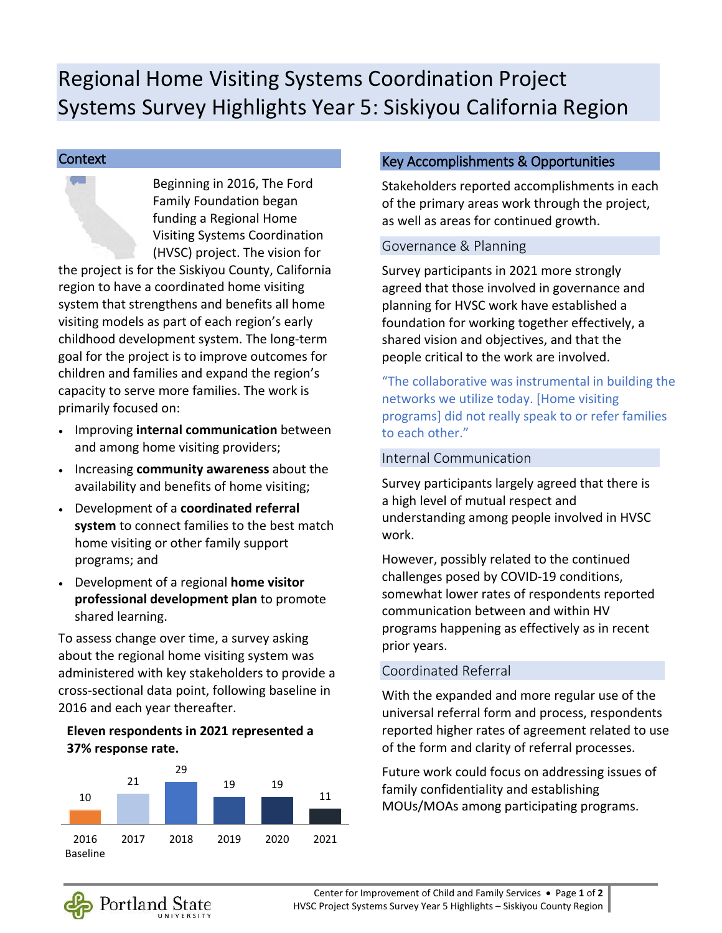# Regional Home Visiting Systems Coordination Project Systems Survey Highlights Year 5: Siskiyou California Region

#### **Context**

Beginning in 2016, The Ford Family Foundation began funding a Regional Home Visiting Systems Coordination (HVSC) project. The vision for

the project is for the Siskiyou County, California region to have a coordinated home visiting system that strengthens and benefits all home visiting models as part of each region's early childhood development system. The long-term goal for the project is to improve outcomes for children and families and expand the region's capacity to serve more families. The work is primarily focused on:

- Improving **internal communication** between and among home visiting providers;
- Increasing **community awareness** about the availability and benefits of home visiting;
- Development of a **coordinated referral system** to connect families to the best match home visiting or other family support programs; and
- Development of a regional **home visitor professional development plan** to promote shared learning.

To assess change over time, a survey asking about the regional home visiting system was administered with key stakeholders to provide a cross-sectional data point, following baseline in 2016 and each year thereafter.

### **Eleven respondents in 2021 represented a 37% response rate.**



## Key Accomplishments & Opportunities

Stakeholders reported accomplishments in each of the primary areas work through the project, as well as areas for continued growth.

#### Governance & Planning

Survey participants in 2021 more strongly agreed that those involved in governance and planning for HVSC work have established a foundation for working together effectively, a shared vision and objectives, and that the people critical to the work are involved.

"The collaborative was instrumental in building the networks we utilize today. [Home visiting programs] did not really speak to or refer families to each other."

#### Internal Communication

Survey participants largely agreed that there is a high level of mutual respect and understanding among people involved in HVSC work.

However, possibly related to the continued challenges posed by COVID-19 conditions, somewhat lower rates of respondents reported communication between and within HV programs happening as effectively as in recent prior years.

## Coordinated Referral

With the expanded and more regular use of the universal referral form and process, respondents reported higher rates of agreement related to use of the form and clarity of referral processes.

Future work could focus on addressing issues of family confidentiality and establishing